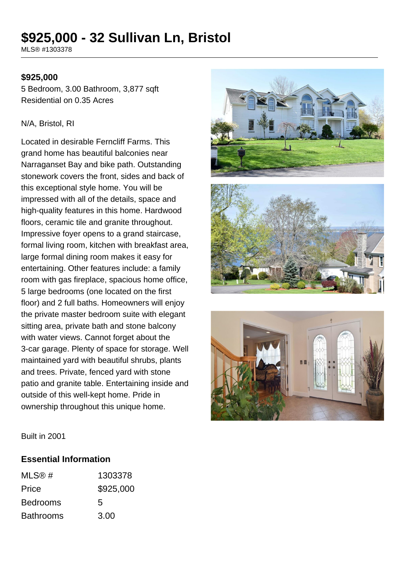# **\$925,000 - 32 Sullivan Ln, Bristol**

MLS® #1303378

#### **\$925,000**

5 Bedroom, 3.00 Bathroom, 3,877 sqft Residential on 0.35 Acres

#### N/A, Bristol, RI

Located in desirable Ferncliff Farms. This grand home has beautiful balconies near Narraganset Bay and bike path. Outstanding stonework covers the front, sides and back of this exceptional style home. You will be impressed with all of the details, space and high-quality features in this home. Hardwood floors, ceramic tile and granite throughout. Impressive foyer opens to a grand staircase, formal living room, kitchen with breakfast area, large formal dining room makes it easy for entertaining. Other features include: a family room with gas fireplace, spacious home office, 5 large bedrooms (one located on the first floor) and 2 full baths. Homeowners will enjoy the private master bedroom suite with elegant sitting area, private bath and stone balcony with water views. Cannot forget about the 3-car garage. Plenty of space for storage. Well maintained yard with beautiful shrubs, plants and trees. Private, fenced yard with stone patio and granite table. Entertaining inside and outside of this well-kept home. Pride in ownership throughout this unique home.







Built in 2001

#### **Essential Information**

| MLS@#            | 1303378   |
|------------------|-----------|
| Price            | \$925,000 |
| <b>Bedrooms</b>  | 5         |
| <b>Bathrooms</b> | 3.00      |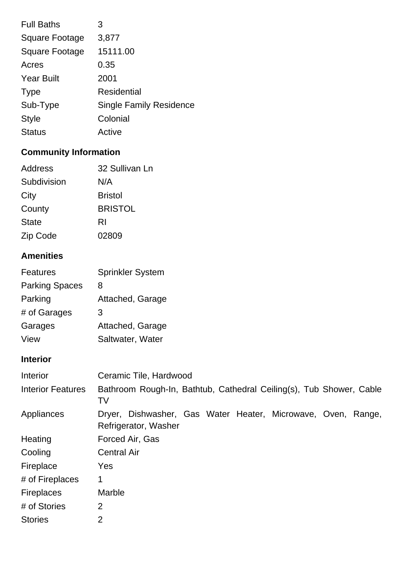| <b>Full Baths</b>     | 3                              |
|-----------------------|--------------------------------|
| <b>Square Footage</b> | 3,877                          |
| <b>Square Footage</b> | 15111.00                       |
| Acres                 | 0.35                           |
| <b>Year Built</b>     | 2001                           |
| <b>Type</b>           | Residential                    |
| Sub-Type              | <b>Single Family Residence</b> |
| <b>Style</b>          | Colonial                       |
| <b>Status</b>         | Active                         |

# **Community Information**

| Address      | 32 Sullivan Ln |
|--------------|----------------|
| Subdivision  | N/A            |
| City         | <b>Bristol</b> |
| County       | <b>BRISTOL</b> |
| <b>State</b> | RI             |
| Zip Code     | 02809          |

## **Amenities**

| <b>Features</b>       | Sprinkler System |
|-----------------------|------------------|
| <b>Parking Spaces</b> | 8                |
| Parking               | Attached, Garage |
| # of Garages          | 3                |
| Garages               | Attached, Garage |
| View                  | Saltwater, Water |

# **Interior**

| Interior                 | Ceramic Tile, Hardwood                                                               |
|--------------------------|--------------------------------------------------------------------------------------|
| <b>Interior Features</b> | Bathroom Rough-In, Bathtub, Cathedral Ceiling(s), Tub Shower, Cable<br>TV            |
| Appliances               | Dryer, Dishwasher, Gas Water Heater, Microwave, Oven, Range,<br>Refrigerator, Washer |
| Heating                  | Forced Air, Gas                                                                      |
| Cooling                  | <b>Central Air</b>                                                                   |
| Fireplace                | Yes                                                                                  |
| # of Fireplaces          | 1                                                                                    |
| <b>Fireplaces</b>        | Marble                                                                               |
| # of Stories             | $\overline{2}$                                                                       |
| <b>Stories</b>           | 2                                                                                    |